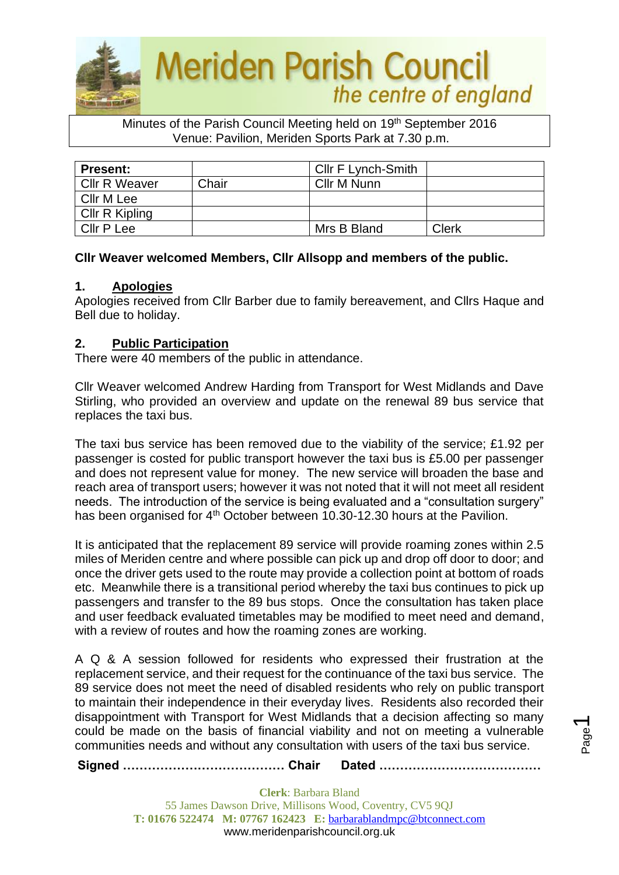

Minutes of the Parish Council Meeting held on 19<sup>th</sup> September 2016 Venue: Pavilion, Meriden Sports Park at 7.30 p.m.

| <b>Present:</b>      |       | Cllr F Lynch-Smith |       |
|----------------------|-------|--------------------|-------|
| <b>CIIr R Weaver</b> | Chair | Cllr M Nunn        |       |
| Cllr M Lee           |       |                    |       |
| Cllr R Kipling       |       |                    |       |
| Cllr P Lee           |       | Mrs B Bland        | Clerk |

# **Cllr Weaver welcomed Members, Cllr Allsopp and members of the public.**

## **1. Apologies**

Apologies received from Cllr Barber due to family bereavement, and Cllrs Haque and Bell due to holiday.

# **2. Public Participation**

There were 40 members of the public in attendance.

Cllr Weaver welcomed Andrew Harding from Transport for West Midlands and Dave Stirling, who provided an overview and update on the renewal 89 bus service that replaces the taxi bus.

The taxi bus service has been removed due to the viability of the service; £1.92 per passenger is costed for public transport however the taxi bus is £5.00 per passenger and does not represent value for money. The new service will broaden the base and reach area of transport users; however it was not noted that it will not meet all resident needs. The introduction of the service is being evaluated and a "consultation surgery" has been organised for 4<sup>th</sup> October between 10.30-12.30 hours at the Pavilion.

It is anticipated that the replacement 89 service will provide roaming zones within 2.5 miles of Meriden centre and where possible can pick up and drop off door to door; and once the driver gets used to the route may provide a collection point at bottom of roads etc. Meanwhile there is a transitional period whereby the taxi bus continues to pick up passengers and transfer to the 89 bus stops. Once the consultation has taken place and user feedback evaluated timetables may be modified to meet need and demand, with a review of routes and how the roaming zones are working.

A Q & A session followed for residents who expressed their frustration at the replacement service, and their request for the continuance of the taxi bus service. The 89 service does not meet the need of disabled residents who rely on public transport to maintain their independence in their everyday lives. Residents also recorded their disappointment with Transport for West Midlands that a decision affecting so many could be made on the basis of financial viability and not on meeting a vulnerable communities needs and without any consultation with users of the taxi bus service.

**Signed ………………………………… Chair Dated …………………………………**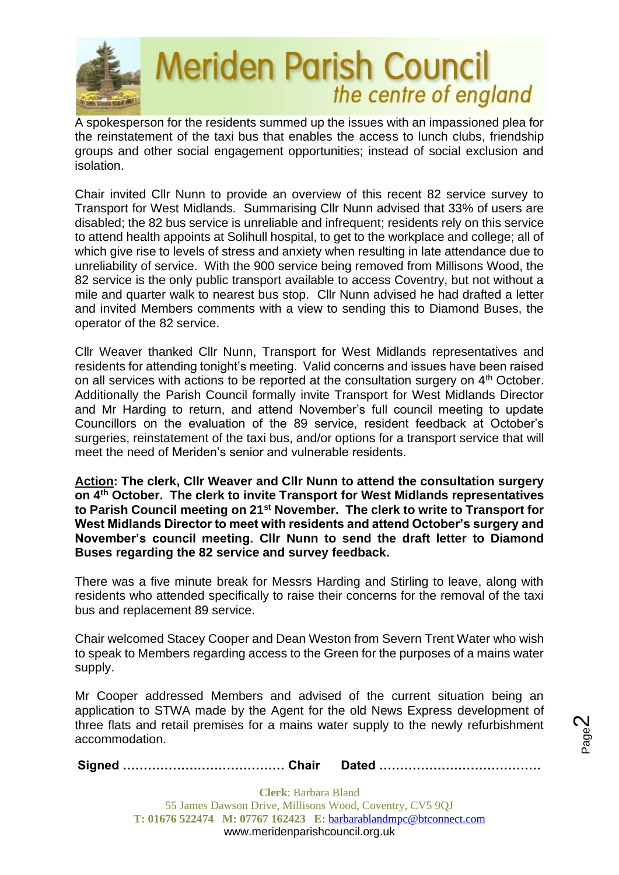

A spokesperson for the residents summed up the issues with an impassioned plea for the reinstatement of the taxi bus that enables the access to lunch clubs, friendship groups and other social engagement opportunities; instead of social exclusion and isolation.

Chair invited Cllr Nunn to provide an overview of this recent 82 service survey to Transport for West Midlands. Summarising Cllr Nunn advised that 33% of users are disabled; the 82 bus service is unreliable and infrequent; residents rely on this service to attend health appoints at Solihull hospital, to get to the workplace and college; all of which give rise to levels of stress and anxiety when resulting in late attendance due to unreliability of service. With the 900 service being removed from Millisons Wood, the 82 service is the only public transport available to access Coventry, but not without a mile and quarter walk to nearest bus stop. Cllr Nunn advised he had drafted a letter and invited Members comments with a view to sending this to Diamond Buses, the operator of the 82 service.

Cllr Weaver thanked Cllr Nunn, Transport for West Midlands representatives and residents for attending tonight's meeting. Valid concerns and issues have been raised on all services with actions to be reported at the consultation surgery on 4<sup>th</sup> October. Additionally the Parish Council formally invite Transport for West Midlands Director and Mr Harding to return, and attend November's full council meeting to update Councillors on the evaluation of the 89 service, resident feedback at October's surgeries, reinstatement of the taxi bus, and/or options for a transport service that will meet the need of Meriden's senior and vulnerable residents.

**Action: The clerk, Cllr Weaver and Cllr Nunn to attend the consultation surgery on 4th October. The clerk to invite Transport for West Midlands representatives to Parish Council meeting on 21st November. The clerk to write to Transport for West Midlands Director to meet with residents and attend October's surgery and November's council meeting. Cllr Nunn to send the draft letter to Diamond Buses regarding the 82 service and survey feedback.**

There was a five minute break for Messrs Harding and Stirling to leave, along with residents who attended specifically to raise their concerns for the removal of the taxi bus and replacement 89 service.

Chair welcomed Stacey Cooper and Dean Weston from Severn Trent Water who wish to speak to Members regarding access to the Green for the purposes of a mains water supply.

Mr Cooper addressed Members and advised of the current situation being an application to STWA made by the Agent for the old News Express development of three flats and retail premises for a mains water supply to the newly refurbishment accommodation.

**Signed ………………………………… Chair Dated …………………………………**

Page  $\boldsymbol{\sim}$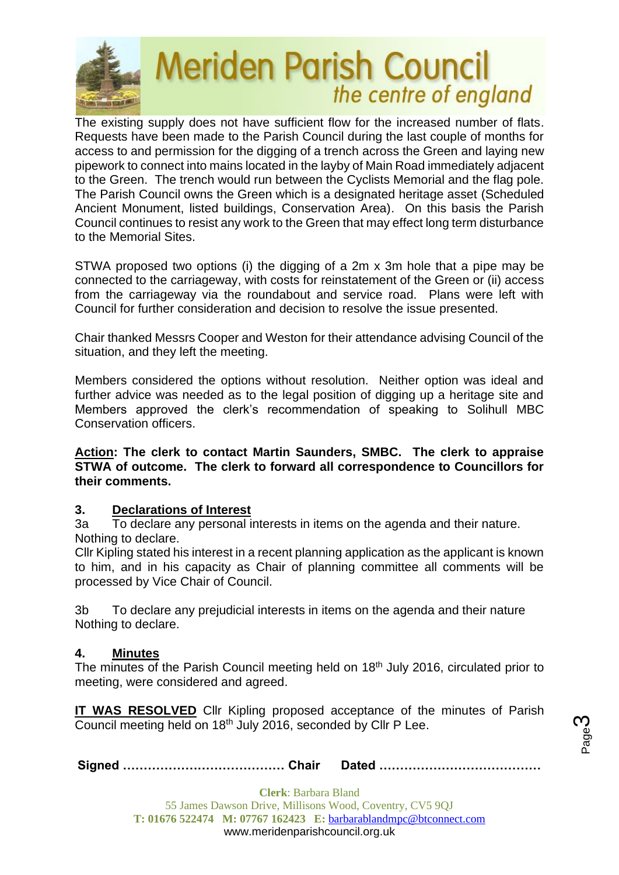

The existing supply does not have sufficient flow for the increased number of flats. Requests have been made to the Parish Council during the last couple of months for access to and permission for the digging of a trench across the Green and laying new pipework to connect into mains located in the layby of Main Road immediately adjacent to the Green. The trench would run between the Cyclists Memorial and the flag pole. The Parish Council owns the Green which is a designated heritage asset (Scheduled Ancient Monument, listed buildings, Conservation Area). On this basis the Parish Council continues to resist any work to the Green that may effect long term disturbance to the Memorial Sites.

STWA proposed two options (i) the digging of a 2m x 3m hole that a pipe may be connected to the carriageway, with costs for reinstatement of the Green or (ii) access from the carriageway via the roundabout and service road. Plans were left with Council for further consideration and decision to resolve the issue presented.

Chair thanked Messrs Cooper and Weston for their attendance advising Council of the situation, and they left the meeting.

Members considered the options without resolution. Neither option was ideal and further advice was needed as to the legal position of digging up a heritage site and Members approved the clerk's recommendation of speaking to Solihull MBC Conservation officers.

**Action: The clerk to contact Martin Saunders, SMBC. The clerk to appraise STWA of outcome. The clerk to forward all correspondence to Councillors for their comments.**

# **3. Declarations of Interest**

3a To declare any personal interests in items on the agenda and their nature. Nothing to declare.

Cllr Kipling stated his interest in a recent planning application as the applicant is known to him, and in his capacity as Chair of planning committee all comments will be processed by Vice Chair of Council.

3b To declare any prejudicial interests in items on the agenda and their nature Nothing to declare.

## **4. Minutes**

The minutes of the Parish Council meeting held on 18th July 2016, circulated prior to meeting, were considered and agreed.

**IT WAS RESOLVED** Cllr Kipling proposed acceptance of the minutes of Parish Council meeting held on 18th July 2016, seconded by Cllr P Lee.

**Signed ………………………………… Chair Dated …………………………………**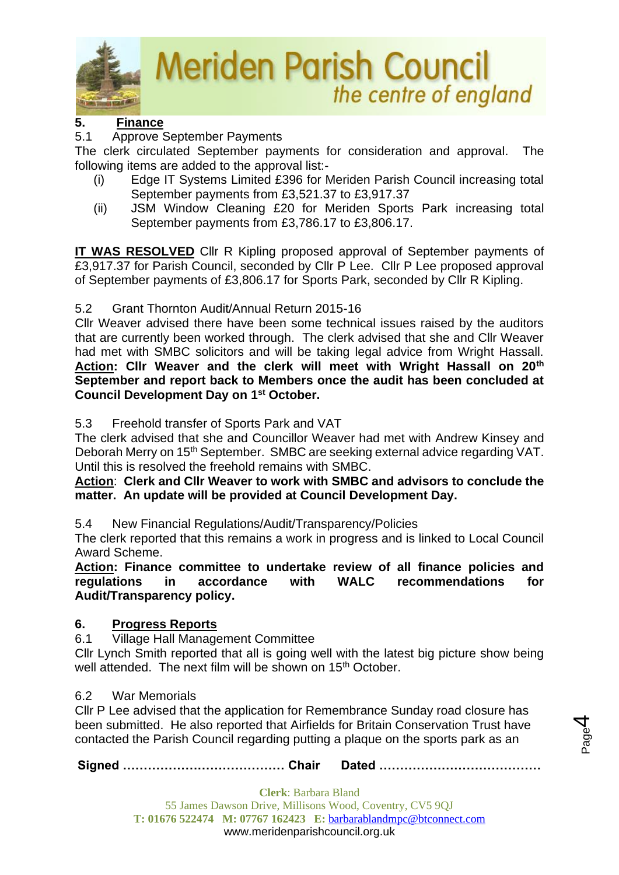

# **5. Finance**

# 5.1 Approve September Payments

The clerk circulated September payments for consideration and approval. The following items are added to the approval list:-

- (i) Edge IT Systems Limited £396 for Meriden Parish Council increasing total September payments from £3,521.37 to £3,917.37
- (ii) JSM Window Cleaning £20 for Meriden Sports Park increasing total September payments from £3,786.17 to £3,806.17.

**IT WAS RESOLVED** Cllr R Kipling proposed approval of September payments of £3,917.37 for Parish Council, seconded by Cllr P Lee. Cllr P Lee proposed approval of September payments of £3,806.17 for Sports Park, seconded by Cllr R Kipling.

# 5.2 Grant Thornton Audit/Annual Return 2015-16

Cllr Weaver advised there have been some technical issues raised by the auditors that are currently been worked through. The clerk advised that she and Cllr Weaver had met with SMBC solicitors and will be taking legal advice from Wright Hassall. **Action: Cllr Weaver and the clerk will meet with Wright Hassall on 20th September and report back to Members once the audit has been concluded at Council Development Day on 1st October.**

# 5.3 Freehold transfer of Sports Park and VAT

The clerk advised that she and Councillor Weaver had met with Andrew Kinsey and Deborah Merry on 15<sup>th</sup> September. SMBC are seeking external advice regarding VAT. Until this is resolved the freehold remains with SMBC.

## **Action**: **Clerk and Cllr Weaver to work with SMBC and advisors to conclude the matter. An update will be provided at Council Development Day.**

5.4 New Financial Regulations/Audit/Transparency/Policies

The clerk reported that this remains a work in progress and is linked to Local Council Award Scheme.

**Action: Finance committee to undertake review of all finance policies and regulations in accordance with WALC recommendations for Audit/Transparency policy.**

# **6. Progress Reports**

6.1 Village Hall Management Committee

Cllr Lynch Smith reported that all is going well with the latest big picture show being well attended. The next film will be shown on 15<sup>th</sup> October.

## 6.2 War Memorials

Cllr P Lee advised that the application for Remembrance Sunday road closure has been submitted. He also reported that Airfields for Britain Conservation Trust have contacted the Parish Council regarding putting a plaque on the sports park as an

**Signed ………………………………… Chair Dated …………………………………**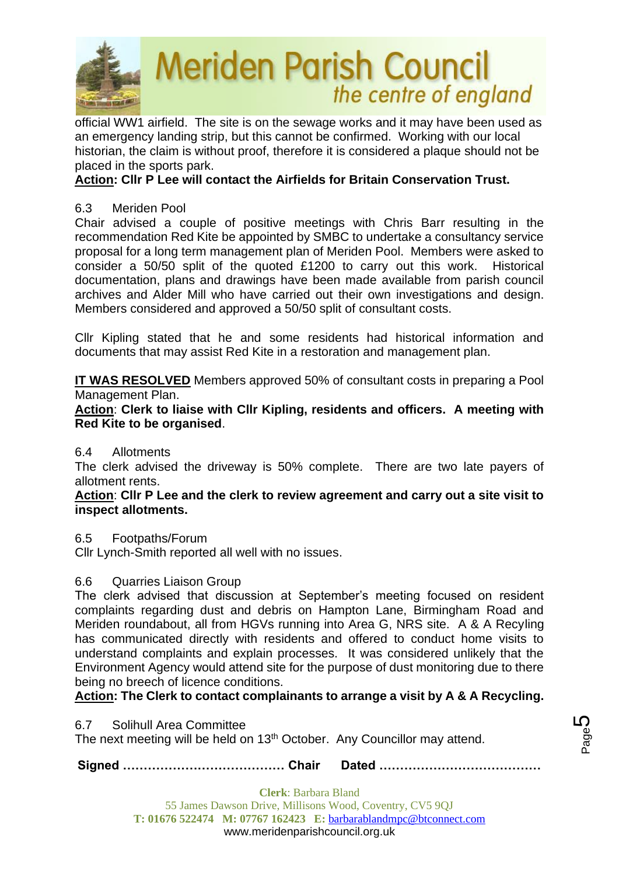

official WW1 airfield. The site is on the sewage works and it may have been used as an emergency landing strip, but this cannot be confirmed. Working with our local historian, the claim is without proof, therefore it is considered a plaque should not be placed in the sports park.

# **Action: Cllr P Lee will contact the Airfields for Britain Conservation Trust.**

# 6.3 Meriden Pool

Chair advised a couple of positive meetings with Chris Barr resulting in the recommendation Red Kite be appointed by SMBC to undertake a consultancy service proposal for a long term management plan of Meriden Pool. Members were asked to consider a 50/50 split of the quoted £1200 to carry out this work. Historical documentation, plans and drawings have been made available from parish council archives and Alder Mill who have carried out their own investigations and design. Members considered and approved a 50/50 split of consultant costs.

Cllr Kipling stated that he and some residents had historical information and documents that may assist Red Kite in a restoration and management plan.

**IT WAS RESOLVED** Members approved 50% of consultant costs in preparing a Pool Management Plan.

**Action**: **Clerk to liaise with Cllr Kipling, residents and officers. A meeting with Red Kite to be organised**.

## 6.4 Allotments

The clerk advised the driveway is 50% complete. There are two late payers of allotment rents.

**Action**: **Cllr P Lee and the clerk to review agreement and carry out a site visit to inspect allotments.**

## 6.5 Footpaths/Forum

Cllr Lynch-Smith reported all well with no issues.

## 6.6 Quarries Liaison Group

The clerk advised that discussion at September's meeting focused on resident complaints regarding dust and debris on Hampton Lane, Birmingham Road and Meriden roundabout, all from HGVs running into Area G, NRS site. A & A Recyling has communicated directly with residents and offered to conduct home visits to understand complaints and explain processes. It was considered unlikely that the Environment Agency would attend site for the purpose of dust monitoring due to there being no breech of licence conditions.

# **Action: The Clerk to contact complainants to arrange a visit by A & A Recycling.**

6.7 Solihull Area Committee

The next meeting will be held on 13<sup>th</sup> October. Any Councillor may attend.

**Signed ………………………………… Chair Dated …………………………………**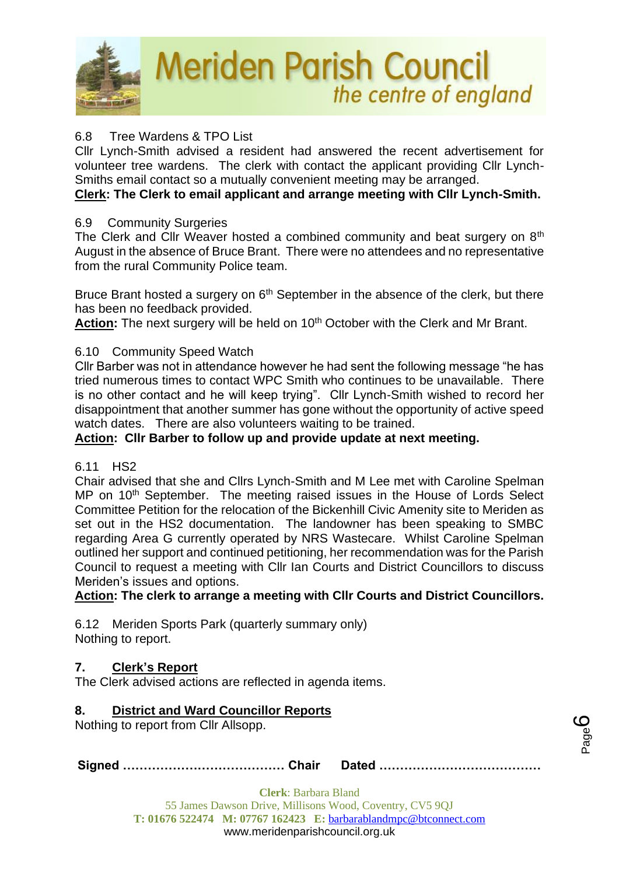

# 6.8 Tree Wardens & TPO List

Cllr Lynch-Smith advised a resident had answered the recent advertisement for volunteer tree wardens. The clerk with contact the applicant providing Cllr Lynch-Smiths email contact so a mutually convenient meeting may be arranged.

# **Clerk: The Clerk to email applicant and arrange meeting with Cllr Lynch-Smith.**

### 6.9 Community Surgeries

The Clerk and Cllr Weaver hosted a combined community and beat surgery on 8<sup>th</sup> August in the absence of Bruce Brant. There were no attendees and no representative from the rural Community Police team.

Bruce Brant hosted a surgery on  $6<sup>th</sup>$  September in the absence of the clerk, but there has been no feedback provided.

Action: The next surgery will be held on 10<sup>th</sup> October with the Clerk and Mr Brant.

## 6.10 Community Speed Watch

Cllr Barber was not in attendance however he had sent the following message "he has tried numerous times to contact WPC Smith who continues to be unavailable. There is no other contact and he will keep trying". Cllr Lynch-Smith wished to record her disappointment that another summer has gone without the opportunity of active speed watch dates. There are also volunteers waiting to be trained.

# **Action: Cllr Barber to follow up and provide update at next meeting.**

#### 6.11 HS2

Chair advised that she and Cllrs Lynch-Smith and M Lee met with Caroline Spelman MP on 10<sup>th</sup> September. The meeting raised issues in the House of Lords Select Committee Petition for the relocation of the Bickenhill Civic Amenity site to Meriden as set out in the HS2 documentation. The landowner has been speaking to SMBC regarding Area G currently operated by NRS Wastecare. Whilst Caroline Spelman outlined her support and continued petitioning, her recommendation was for the Parish Council to request a meeting with Cllr Ian Courts and District Councillors to discuss Meriden's issues and options.

**Action: The clerk to arrange a meeting with Cllr Courts and District Councillors.**

6.12 Meriden Sports Park (quarterly summary only) Nothing to report.

## **7. Clerk's Report**

The Clerk advised actions are reflected in agenda items.

## **8. District and Ward Councillor Reports**

Nothing to report from Cllr Allsopp.

**Signed ………………………………… Chair Dated …………………………………**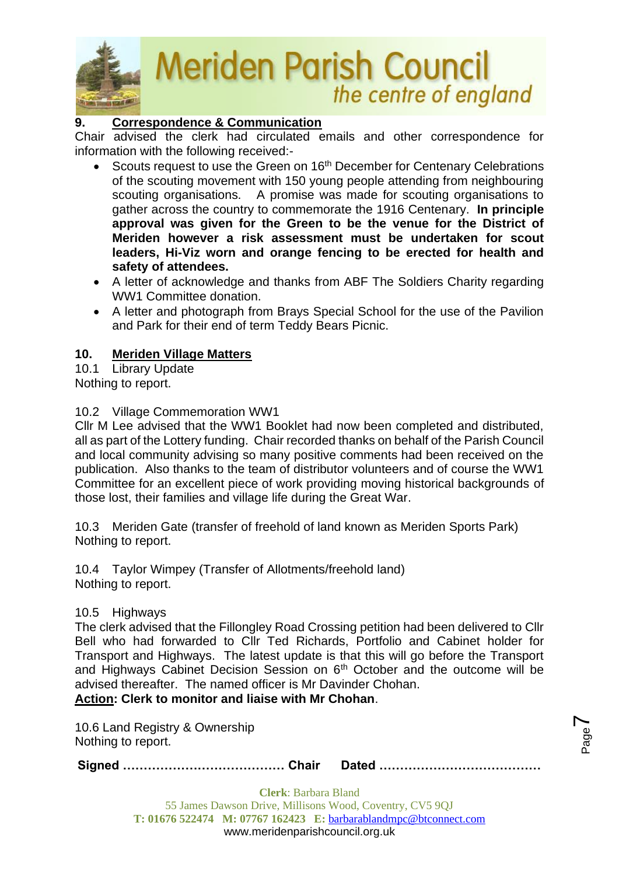

# **9. Correspondence & Communication**

Chair advised the clerk had circulated emails and other correspondence for information with the following received:-

- Scouts request to use the Green on 16<sup>th</sup> December for Centenary Celebrations of the scouting movement with 150 young people attending from neighbouring scouting organisations. A promise was made for scouting organisations to gather across the country to commemorate the 1916 Centenary. **In principle approval was given for the Green to be the venue for the District of Meriden however a risk assessment must be undertaken for scout leaders, Hi-Viz worn and orange fencing to be erected for health and safety of attendees.**
- A letter of acknowledge and thanks from ABF The Soldiers Charity regarding WW1 Committee donation.
- A letter and photograph from Brays Special School for the use of the Pavilion and Park for their end of term Teddy Bears Picnic.

## **10. Meriden Village Matters**

10.1 Library Update Nothing to report.

## 10.2 Village Commemoration WW1

Cllr M Lee advised that the WW1 Booklet had now been completed and distributed, all as part of the Lottery funding. Chair recorded thanks on behalf of the Parish Council and local community advising so many positive comments had been received on the publication. Also thanks to the team of distributor volunteers and of course the WW1 Committee for an excellent piece of work providing moving historical backgrounds of those lost, their families and village life during the Great War.

10.3 Meriden Gate (transfer of freehold of land known as Meriden Sports Park) Nothing to report.

10.4 Taylor Wimpey (Transfer of Allotments/freehold land) Nothing to report.

## 10.5 Highways

The clerk advised that the Fillongley Road Crossing petition had been delivered to Cllr Bell who had forwarded to Cllr Ted Richards, Portfolio and Cabinet holder for Transport and Highways. The latest update is that this will go before the Transport and Highways Cabinet Decision Session on 6th October and the outcome will be advised thereafter. The named officer is Mr Davinder Chohan. **Action: Clerk to monitor and liaise with Mr Chohan**.

10.6 Land Registry & Ownership

Nothing to report.

**Signed ………………………………… Chair Dated …………………………………**

Page  $\blacktriangleright$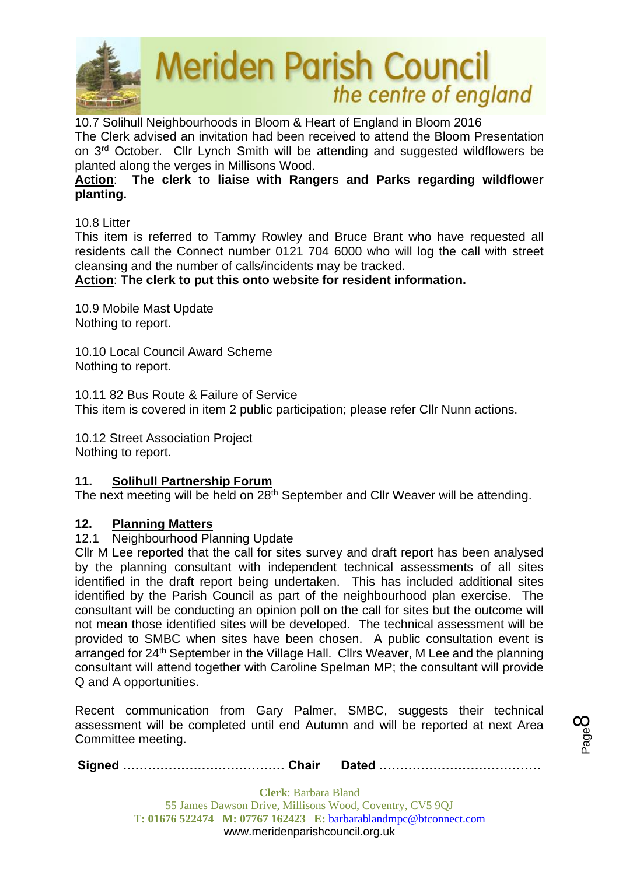

10.7 Solihull Neighbourhoods in Bloom & Heart of England in Bloom 2016 The Clerk advised an invitation had been received to attend the Bloom Presentation on 3rd October. Cllr Lynch Smith will be attending and suggested wildflowers be planted along the verges in Millisons Wood.

# **Action**: **The clerk to liaise with Rangers and Parks regarding wildflower planting.**

10.8 Litter

This item is referred to Tammy Rowley and Bruce Brant who have requested all residents call the Connect number 0121 704 6000 who will log the call with street cleansing and the number of calls/incidents may be tracked.

## **Action**: **The clerk to put this onto website for resident information.**

10.9 Mobile Mast Update Nothing to report.

10.10 Local Council Award Scheme Nothing to report.

10.11 82 Bus Route & Failure of Service This item is covered in item 2 public participation; please refer Cllr Nunn actions.

10.12 Street Association Project Nothing to report.

## **11. Solihull Partnership Forum**

The next meeting will be held on 28<sup>th</sup> September and Cllr Weaver will be attending.

#### **12. Planning Matters**

#### 12.1 Neighbourhood Planning Update

Cllr M Lee reported that the call for sites survey and draft report has been analysed by the planning consultant with independent technical assessments of all sites identified in the draft report being undertaken. This has included additional sites identified by the Parish Council as part of the neighbourhood plan exercise. The consultant will be conducting an opinion poll on the call for sites but the outcome will not mean those identified sites will be developed. The technical assessment will be provided to SMBC when sites have been chosen. A public consultation event is arranged for 24<sup>th</sup> September in the Village Hall. Cllrs Weaver, M Lee and the planning consultant will attend together with Caroline Spelman MP; the consultant will provide Q and A opportunities.

Recent communication from Gary Palmer, SMBC, suggests their technical assessment will be completed until end Autumn and will be reported at next Area Committee meeting.

**Signed ………………………………… Chair Dated …………………………………**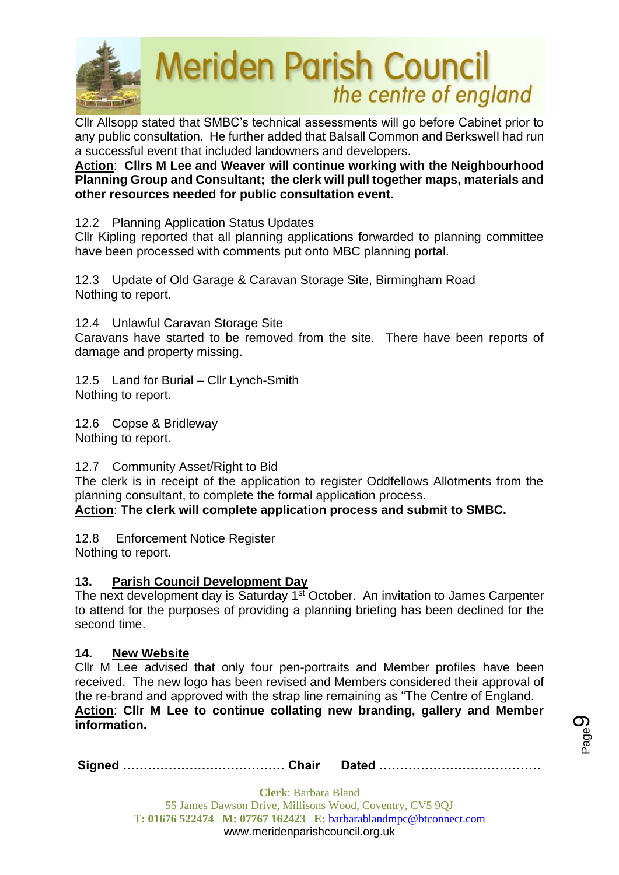

Cllr Allsopp stated that SMBC's technical assessments will go before Cabinet prior to any public consultation. He further added that Balsall Common and Berkswell had run a successful event that included landowners and developers.

**Action**: **Cllrs M Lee and Weaver will continue working with the Neighbourhood Planning Group and Consultant; the clerk will pull together maps, materials and other resources needed for public consultation event.**

12.2 Planning Application Status Updates

Cllr Kipling reported that all planning applications forwarded to planning committee have been processed with comments put onto MBC planning portal.

12.3 Update of Old Garage & Caravan Storage Site, Birmingham Road Nothing to report.

12.4 Unlawful Caravan Storage Site

Caravans have started to be removed from the site. There have been reports of damage and property missing.

12.5 Land for Burial – Cllr Lynch-Smith Nothing to report.

12.6 Copse & Bridleway Nothing to report.

12.7 Community Asset/Right to Bid

The clerk is in receipt of the application to register Oddfellows Allotments from the planning consultant, to complete the formal application process.

**Action**: **The clerk will complete application process and submit to SMBC.**

12.8 Enforcement Notice Register Nothing to report.

# **13. Parish Council Development Day**

The next development day is Saturday 1<sup>st</sup> October. An invitation to James Carpenter to attend for the purposes of providing a planning briefing has been declined for the second time.

## **14. New Website**

Cllr M Lee advised that only four pen-portraits and Member profiles have been received. The new logo has been revised and Members considered their approval of the re-brand and approved with the strap line remaining as "The Centre of England. **Action**: **Cllr M Lee to continue collating new branding, gallery and Member information.**

**Signed ………………………………… Chair Dated …………………………………**

Page ග